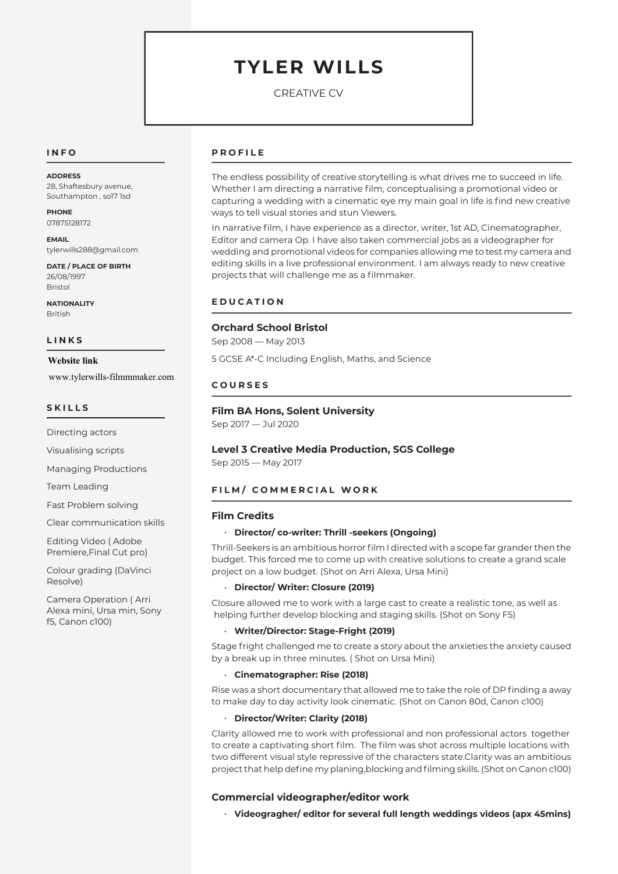# **TYLER WILLS**

CREATIVE CV

## **I N F O**

**ADDRESS** 28, Shaftesbury avenue, Southampton , so17 1sd

**PHONE** 07875128172

**EMAIL** tylerwills288@gmail.com

**DATE / PLACE OF BIRTH** 26/08/1997 Bristol

**NATIONALITY** British

#### **L I N K S**

Linkedin: **Website link** www.tylerwills-filmmmaker.com

#### **S K I L L S**

Directing actors

Visualising scripts

Managing Productions

Team Leading

Fast Problem solving

Clear communication skills

Editing Video ( Adobe Premiere,Final Cut pro)

Colour grading (DaVinci Resolve)

Camera Operation ( Arri Alexa mini, Ursa min, Sony f5, Canon c100)

## **P R O F I L E**

The endless possibility of creative storytelling is what drives me to succeed in life. Whether I am directing a narrative film, conceptualising a promotional video or capturing a wedding with a cinematic eye my main goal in life is find new creative ways to tell visual stories and stun Viewers.

In narrative film, I have experience as a director, writer, 1st AD, Cinematographer, Editor and camera Op. I have also taken commercial jobs as a videographer for wedding and promotional videos for companies allowing me to test my camera and editing skills in a live professional environment. I am always ready to new creative projects that will challenge me as a filmmaker.

## **E D U C A T I O N**

## **Orchard School Bristol**

Sep 2008 - May 2013

5 GCSE A\*-C Including English, Maths, and Science

### **C O U R S E S**

## **Film BA Hons, Solent University**

Sep 2017 - Jul 2020

# **Level 3 Creative Media Production, SGS College**

Sep 2015 - May 2017

# **FILM/ COMMERCIAL WORK**

### **Film Credits**

## **Director/ co-writer: Thrill -seekers (Ongoing)**

Thrill-Seekers is an ambitious horror film I directed with a scope far grander then the budget. This forced me to come up with creative solutions to create a grand scale project on a low budget. (Shot on Arri Alexa, Ursa Mini)

### **Director/ Writer: Closure (2019)**

Closure allowed me to work with a large cast to create a realistic tone, as well as helping further develop blocking and staging skills. (Shot on Sony F5)

### **Writer/Director: Stage-Fright (2019)**

Stage fright challenged me to create a story about the anxieties the anxiety caused by a break up in three minutes. ( Shot on Ursa Mini)

#### **Cinematographer: Rise (2018)**

Rise was a short documentary that allowed me to take the role of DP finding a away to make day to day activity look cinematic. (Shot on Canon 80d, Canon c100)

#### **Director/Writer: Clarity (2018)**

Clarity allowed me to work with professional and non professional actors 'together to create a captivating short film. The film was shot across multiple locations with two different visual style repressive of the characters state.Clarity was an ambitious project that help define my planing,blocking and filming skills. (Shot on Canon c100)

### **Commercial videographer/editor work**

**Videogragher/ editor for several full length weddings videos (apx 45mins)**